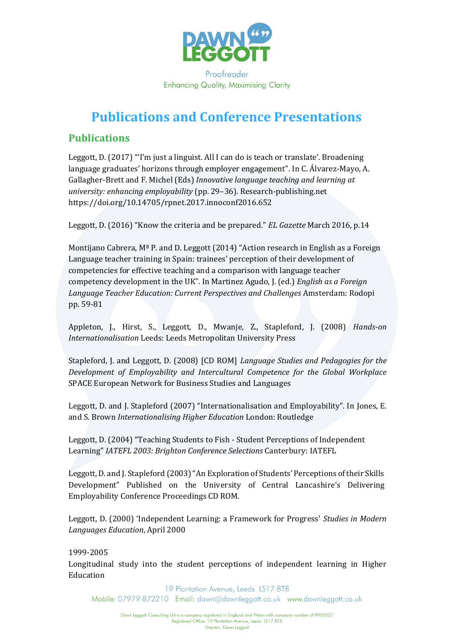

**Enhancing Quality, Maximising Clarity** 

## **Publications and Conference Presentations**

## **Publications**

Leggott, D. (2017) "'I'm just a linguist. All I can do is teach or translate'. Broadening language graduates' horizons through employer engagement". In C. Álvarez-Mayo, A. Gallagher-Brett and F. Michel (Eds) *Innovative language teaching and learning at university: enhancing employability* (pp. 29–36). Research-publishing.net https://doi.org/10.14705/rpnet.2017.innoconf2016.652

Leggott, D. (2016) "Know the criteria and be prepared." *EL Gazette* March 2016, p.14

Montijano Cabrera,  $M^a$  P. and D. Leggott (2014) "Action research in English as a Foreign Language teacher training in Spain: trainees' perception of their development of competencies for effective teaching and a comparison with language teacher competency development in the UK". In Martinez Agudo, J. (ed.) *English as a Foreign Language Teacher Education: Current Perspectives and Challenges* Amsterdam: Rodopi pp. 59-81

Appleton, J., Hirst, S., Leggott, D., Mwanje, Z., Stapleford, J. (2008) *Hands-on Internationalisation* Leeds: Leeds Metropolitan University Press

Stapleford, J. and Leggott, D. (2008) [CD ROM] *Language Studies and Pedagogies for the Development of Employability and Intercultural Competence for the Global Workplace*  SPACE European Network for Business Studies and Languages

Leggott, D. and J. Stapleford (2007) "Internationalisation and Employability". In Jones, E. and S. Brown *Internationalising Higher Education* London: Routledge

Leggott, D. (2004) "Teaching Students to Fish - Student Perceptions of Independent Learning" *IATEFL 2003: Brighton Conference Selections* Canterbury: IATEFL

Leggott, D. and J. Stapleford (2003) "An Exploration of Students' Perceptions of their Skills Development" Published on the University of Central Lancashire's Delivering Employability Conference Proceedings CD ROM.

Leggott, D. (2000) 'Independent Learning: a Framework for Progress' *Studies in Modern Languages Education*, April 2000

1999-2005 Longitudinal study into the student perceptions of independent learning in Higher Education

19 Plantation Avenue, Leeds LS17 8TB Mobile: 07979 872210 Email: dawn@dawnleggott.co.uk www.dawnleggott.co.uk